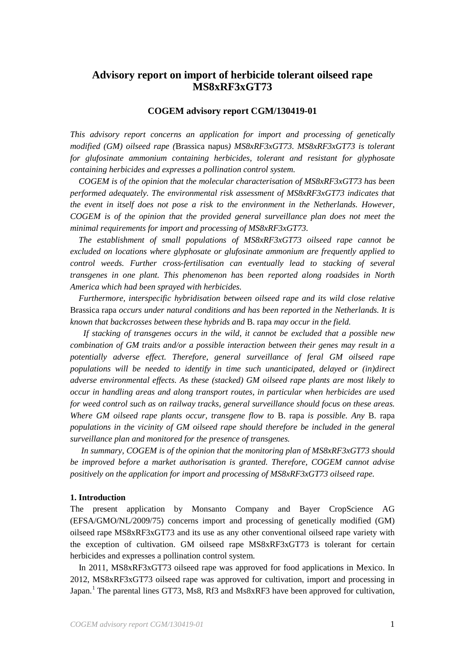# **Advisory report on import of herbicide tolerant oilseed rape MS8xRF3xGT73**

## **COGEM advisory report CGM/130419-01**

*This advisory report concerns an application for import and processing of genetically modified (GM) oilseed rape (*Brassica napus*) MS8xRF3xGT73. MS8xRF3xGT73 is tolerant for glufosinate ammonium containing herbicides, tolerant and resistant for glyphosate containing herbicides and expresses a pollination control system.*

*COGEM is of the opinion that the molecular characterisation of MS8xRF3xGT73 has been performed adequately. The environmental risk assessment of MS8xRF3xGT73 indicates that the event in itself does not pose a risk to the environment in the Netherlands. However, COGEM is of the opinion that the provided general surveillance plan does not meet the minimal requirements for import and processing of MS8xRF3xGT73.*

*The establishment of small populations of MS8xRF3xGT73 oilseed rape cannot be excluded on locations where glyphosate or glufosinate ammonium are frequently applied to control weeds. Further cross-fertilisation can eventually lead to stacking of several transgenes in one plant. This phenomenon has been reported along roadsides in North America which had been sprayed with herbicides.*

*Furthermore, interspecific hybridisation between oilseed rape and its wild close relative*  Brassica rapa *occurs under natural conditions and has been reported in the Netherlands. It is known that backcrosses between these hybrids and* B. rapa *may occur in the field.*

*If stacking of transgenes occurs in the wild, it cannot be excluded that a possible new combination of GM traits and/or a possible interaction between their genes may result in a potentially adverse effect. Therefore, general surveillance of feral GM oilseed rape populations will be needed to identify in time such unanticipated, delayed or (in)direct adverse environmental effects. As these (stacked) GM oilseed rape plants are most likely to occur in handling areas and along transport routes, in particular when herbicides are used for weed control such as on railway tracks, general surveillance should focus on these areas. Where GM oilseed rape plants occur, transgene flow to* B. rapa *is possible. Any* B. rapa *populations in the vicinity of GM oilseed rape should therefore be included in the general surveillance plan and monitored for the presence of transgenes.*

*In summary, COGEM is of the opinion that the monitoring plan of MS8xRF3xGT73 should be improved before a market authorisation is granted. Therefore, COGEM cannot advise positively on the application for import and processing of MS8xRF3xGT73 oilseed rape.* 

#### **1. Introduction**

The present application by Monsanto Company and Bayer CropScience AG (EFSA/GMO/NL/2009/75) concerns import and processing of genetically modified (GM) oilseed rape MS8xRF3xGT73 and its use as any other conventional oilseed rape variety with the exception of cultivation. GM oilseed rape MS8xRF3xGT73 is tolerant for certain herbicides and expresses a pollination control system.

<span id="page-0-0"></span>In 2011, MS8xRF3xGT73 oilseed rape was approved for food applications in Mexico. In 2012, MS8xRF3xGT73 oilseed rape was approved for cultivation, import and processing in Japan.<sup>[1](#page-2-0)</sup> The parental lines GT73, Ms8, Rf3 and Ms8xRF3 have been approved for cultivation,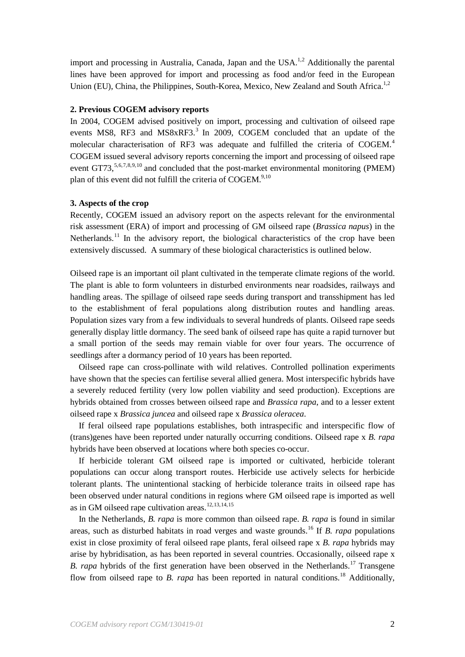<span id="page-1-0"></span>import and processing in Australia, Canada, Japan and the USA.<sup>[1,](#page-0-0)[2](#page-3-0)</sup> Additionally the parental lines have been approved for import and processing as food and/or feed in the European Union (EU), China, the Philippines, South-Korea, Mexico, New Zealand and South Africa.<sup>[1,](#page-0-0)[2](#page-1-0)</sup>

# **2. Previous COGEM advisory reports**

<span id="page-1-5"></span><span id="page-1-3"></span>In 2004, COGEM advised positively on import, processing and cultivation of oilseed rape events MS8, RF[3](#page-3-1) and MS8xRF3.<sup>3</sup> In 2009, COGEM concluded that an update of the molecular characterisation of RF3 was adequate and fulfilled the criteria of COGEM.<sup>[4](#page-3-2)</sup> COGEM issued several advisory reports concerning the import and processing of oilseed rape event GT73,<sup>[5,](#page-3-3)[6](#page-3-4),[7](#page-3-5),[8,](#page-3-6)[9,](#page-3-7)[10](#page-3-8)</sup> and concluded that the post-market environmental monitoring (PMEM) plan of this event did not fulfill the criteria of COGEM.<sup>9,[10](#page-1-2)</sup>

## <span id="page-1-6"></span><span id="page-1-4"></span><span id="page-1-2"></span><span id="page-1-1"></span>**3. Aspects of the crop**

<span id="page-1-7"></span>Recently, COGEM issued an advisory report on the aspects relevant for the environmental risk assessment (ERA) of import and processing of GM oilseed rape (*Brassica napus*) in the Netherlands.<sup>[11](#page-3-9)</sup> In the advisory report, the biological characteristics of the crop have been extensively discussed. A summary of these biological characteristics is outlined below.

Oilseed rape is an important oil plant cultivated in the temperate climate regions of the world. The plant is able to form volunteers in disturbed environments near roadsides, railways and handling areas. The spillage of oilseed rape seeds during transport and transshipment has led to the establishment of feral populations along distribution routes and handling areas. Population sizes vary from a few individuals to several hundreds of plants. Oilseed rape seeds generally display little dormancy. The seed bank of oilseed rape has quite a rapid turnover but a small portion of the seeds may remain viable for over four years. The occurrence of seedlings after a dormancy period of 10 years has been reported.

Oilseed rape can cross-pollinate with wild relatives. Controlled pollination experiments have shown that the species can fertilise several allied genera. Most interspecific hybrids have a severely reduced fertility (very low pollen viability and seed production). Exceptions are hybrids obtained from crosses between oilseed rape and *Brassica rapa*, and to a lesser extent oilseed rape x *Brassica juncea* and oilseed rape x *Brassica oleracea*.

If feral oilseed rape populations establishes, both intraspecific and interspecific flow of (trans)genes have been reported under naturally occurring conditions. Oilseed rape x *B. rapa* hybrids have been observed at locations where both species co-occur.

If herbicide tolerant GM oilseed rape is imported or cultivated, herbicide tolerant populations can occur along transport routes. Herbicide use actively selects for herbicide tolerant plants. The unintentional stacking of herbicide tolerance traits in oilseed rape has been observed under natural conditions in regions where GM oilseed rape is imported as well as in GM oilseed rape cultivation areas.<sup>[12,](#page-3-10)[13,](#page-3-11)[14](#page-3-12),[15](#page-3-13)</sup>

In the Netherlands, *B. rapa* is more common than oilseed rape. *B. rapa* is found in similar areas, such as disturbed habitats in road verges and waste grounds.[16](#page-3-14) If *B. rapa* populations exist in close proximity of feral oilseed rape plants, feral oilseed rape x *B. rapa* hybrids may arise by hybridisation, as has been reported in several countries. Occasionally, oilseed rape x *B. rapa* hybrids of the first generation have been observed in the Netherlands.<sup>[17](#page-3-15)</sup> Transgene flow from oilseed rape to *B. rapa* has been reported in natural conditions.<sup>[18](#page-3-16)</sup> Additionally,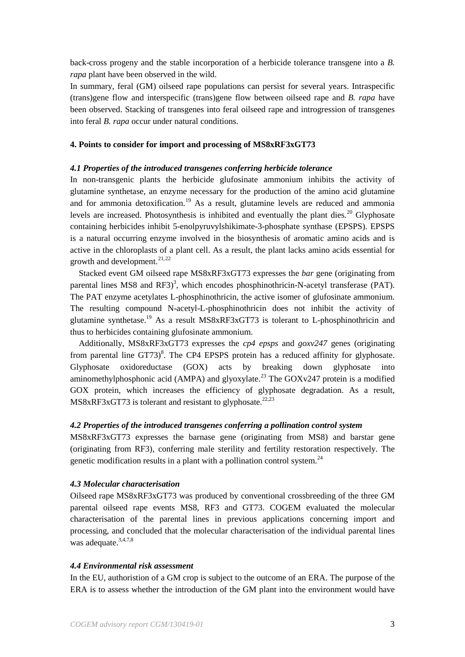back-cross progeny and the stable incorporation of a herbicide tolerance transgene into a *B. rapa* plant have been observed in the wild.

In summary, feral (GM) oilseed rape populations can persist for several years. Intraspecific (trans)gene flow and interspecific (trans)gene flow between oilseed rape and *B. rapa* have been observed. Stacking of transgenes into feral oilseed rape and introgression of transgenes into feral *B. rapa* occur under natural conditions.

#### **4. Points to consider for import and processing of MS8xRF3xGT73**

## *4.1 Properties of the introduced transgenes conferring herbicide tolerance*

<span id="page-2-1"></span>In non-transgenic plants the herbicide glufosinate ammonium inhibits the activity of glutamine synthetase, an enzyme necessary for the production of the amino acid glutamine and for ammonia detoxification.<sup>[19](#page-4-0)</sup> As a result, glutamine levels are reduced and ammonia levels are increased. Photosynthesis is inhibited and eventually the plant dies.<sup>[20](#page-4-1)</sup> Glyphosate containing herbicides inhibit 5-enolpyruvylshikimate-3-phosphate synthase (EPSPS). EPSPS is a natural occurring enzyme involved in the biosynthesis of aromatic amino acids and is active in the chloroplasts of a plant cell. As a result, the plant lacks amino acids essential for growth and development.<sup>[21,](#page-4-2)[22](#page-4-3)</sup>

<span id="page-2-2"></span>Stacked event GM oilseed rape MS8xRF3xGT73 expresses the *bar* gene (originating from parental lines MS8 and  $RF3$ <sup>3</sup>[,](#page-1-3) which encodes phosphinothricin-N-acetyl transferase (PAT). The PAT enzyme acetylates L-phosphinothricin, the active isomer of glufosinate ammonium. The resulting compound N-acetyl-L-phosphinothricin does not inhibit the activity of glutamine synthetase[.19](#page-2-1) As a result MS8xRF3xGT73 is tolerant to L-phosphinothricin and thus to herbicides containing glufosinate ammonium.

<span id="page-2-3"></span>Additionally, MS8xRF3xGT73 expresses the *cp4 epsps* and *goxv247* genes (originating from parental line  $GT73)$ <sup>8</sup>[.](#page-1-4) The CP4 EPSPS protein has a reduced affinity for glyphosate. Glyphosate oxidoreductase (GOX) acts by breaking down glyphosate into aminomethylphosphonic acid (AMPA) and glyoxylate.<sup>[23](#page-4-4)</sup> The GOXv247 protein is a modified GOX protein, which increases the efficiency of glyphosate degradation. As a result, MS8xRF3xGT73 is tolerant and resistant to glyphosate.<sup>[22,](#page-2-2)[23](#page-2-3)</sup>

# *4.2 Properties of the introduced transgenes conferring a pollination control system*

MS8xRF3xGT73 expresses the barnase gene (originating from MS8) and barstar gene (originating from RF3), conferring male sterility and fertility restoration respectively. The genetic modification results in a plant with a pollination control system.<sup>[24](#page-4-5)</sup>

#### *4.3 Molecular characterisation*

Oilseed rape MS8xRF3xGT73 was produced by conventional crossbreeding of the three GM parental oilseed rape events MS8, RF3 and GT73. COGEM evaluated the molecular characterisation of the parental lines in previous applications concerning import and processing, and concluded that the molecular characterisation of the individual parental lines was adequate.<sup>3,[4,](#page-1-5)[7,](#page-1-6)[8](#page-1-4)</sup>

## <span id="page-2-0"></span>*4.4 Environmental risk assessment*

In the EU, authoristion of a GM crop is subject to the outcome of an ERA. The purpose of the ERA is to assess whether the introduction of the GM plant into the environment would have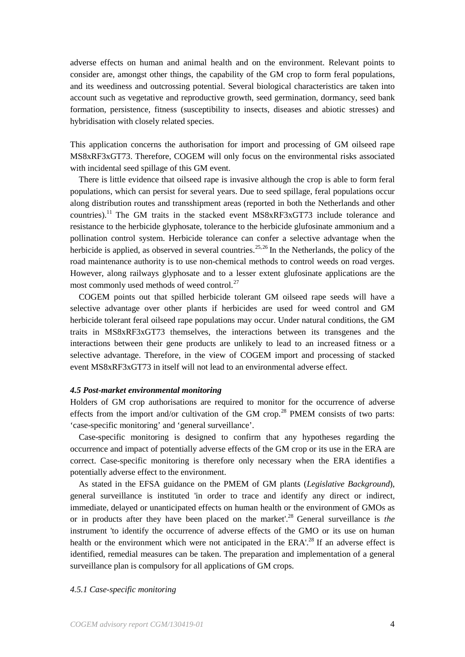<span id="page-3-0"></span>adverse effects on human and animal health and on the environment. Relevant points to consider are, amongst other things, the capability of the GM crop to form feral populations, and its weediness and outcrossing potential. Several biological characteristics are taken into account such as vegetative and reproductive growth, seed germination, dormancy, seed bank formation, persistence, fitness (susceptibility to insects, diseases and abiotic stresses) and hybridisation with closely related species.

<span id="page-3-3"></span><span id="page-3-2"></span><span id="page-3-1"></span>This application concerns the authorisation for import and processing of GM oilseed rape MS8xRF3xGT73. Therefore, COGEM will only focus on the environmental risks associated with incidental seed spillage of this GM event.

<span id="page-3-7"></span><span id="page-3-6"></span><span id="page-3-5"></span><span id="page-3-4"></span>There is little evidence that oilseed rape is invasive although the crop is able to form feral populations, which can persist for several years. Due to seed spillage, feral populations occur along distribution routes and transshipment areas (reported in both the Netherlands and other countries).[11](#page-1-7) The GM traits in the stacked event MS8xRF3xGT73 include tolerance and resistance to the herbicide glyphosate, tolerance to the herbicide glufosinate ammonium and a pollination control system. Herbicide tolerance can confer a selective advantage when the herbicide is applied, as observed in several countries.<sup>[25,](#page-5-0)[26](#page-5-1)</sup> In the Netherlands, the policy of the road maintenance authority is to use non-chemical methods to control weeds on road verges. However, along railways glyphosate and to a lesser extent glufosinate applications are the most commonly used methods of weed control.<sup>[27](#page-5-2)</sup>

<span id="page-3-11"></span><span id="page-3-10"></span><span id="page-3-9"></span><span id="page-3-8"></span>COGEM points out that spilled herbicide tolerant GM oilseed rape seeds will have a selective advantage over other plants if herbicides are used for weed control and GM herbicide tolerant feral oilseed rape populations may occur. Under natural conditions, the GM traits in MS8xRF3xGT73 themselves, the interactions between its transgenes and the interactions between their gene products are unlikely to lead to an increased fitness or a selective advantage. Therefore, in the view of COGEM import and processing of stacked event MS8xRF3xGT73 in itself will not lead to an environmental adverse effect.

# <span id="page-3-13"></span><span id="page-3-12"></span>*4.5 Post-market environmental monitoring*

<span id="page-3-17"></span><span id="page-3-14"></span>Holders of GM crop authorisations are required to monitor for the occurrence of adverse effects from the import and/or cultivation of the GM crop.<sup>[28](#page-5-3)</sup> PMEM consists of two parts: 'case-specific monitoring' and 'general surveillance'.

<span id="page-3-16"></span><span id="page-3-15"></span>Case-specific monitoring is designed to confirm that any hypotheses regarding the occurrence and impact of potentially adverse effects of the GM crop or its use in the ERA are correct. Case-specific monitoring is therefore only necessary when the ERA identifies a potentially adverse effect to the environment.

As stated in the EFSA guidance on the PMEM of GM plants (*Legislative Background*), general surveillance is instituted 'in order to trace and identify any direct or indirect, immediate, delayed or unanticipated effects on human health or the environment of GMOs as or in products after they have been placed on the market'[.28](#page-3-17) General surveillance is *the* instrument 'to identify the occurrence of adverse effects of the GMO or its use on human health or the environment which were not anticipated in the ERA'.<sup>28</sup> If an adverse effect is identified, remedial measures can be taken. The preparation and implementation of a general surveillance plan is compulsory for all applications of GM crops.

#### *4.5.1 Case-specific monitoring*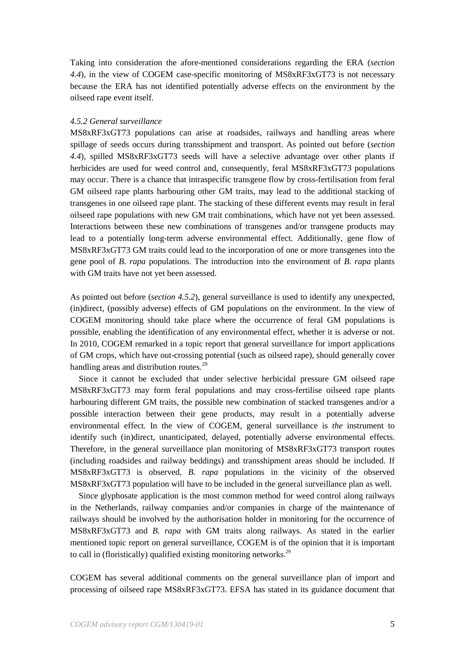<span id="page-4-5"></span>Taking into consideration the afore-mentioned considerations regarding the ERA (*section 4.4*), in the view of COGEM case-specific monitoring of MS8xRF3xGT73 is not necessary because the ERA has not identified potentially adverse effects on the environment by the oilseed rape event itself.

# *4.5.2 General surveillance*

MS8xRF3xGT73 populations can arise at roadsides, railways and handling areas where spillage of seeds occurs during transshipment and transport. As pointed out before (*section 4.4*), spilled MS8xRF3xGT73 seeds will have a selective advantage over other plants if herbicides are used for weed control and, consequently, feral MS8xRF3xGT73 populations may occur. There is a chance that intraspecific transgene flow by cross-fertilisation from feral GM oilseed rape plants harbouring other GM traits, may lead to the additional stacking of transgenes in one oilseed rape plant. The stacking of these different events may result in feral oilseed rape populations with new GM trait combinations, which have not yet been assessed. Interactions between these new combinations of transgenes and/or transgene products may lead to a potentially long-term adverse environmental effect. Additionally, gene flow of MS8xRF3xGT73 GM traits could lead to the incorporation of one or more transgenes into the gene pool of *B. rapa* populations. The introduction into the environment of *B. rapa* plants with GM traits have not yet been assessed.

As pointed out before (*section 4.5.2*), general surveillance is used to identify any unexpected, (in)direct, (possibly adverse) effects of GM populations on the environment. In the view of COGEM monitoring should take place where the occurrence of feral GM populations is possible, enabling the identification of any environmental effect, whether it is adverse or not. In 2010, COGEM remarked in a topic report that general surveillance for import applications of GM crops, which have out-crossing potential (such as oilseed rape), should generally cover handling areas and distribution routes.<sup>[29](#page-6-0)</sup>

<span id="page-4-6"></span>Since it cannot be excluded that under selective herbicidal pressure GM oilseed rape MS8xRF3xGT73 may form feral populations and may cross-fertilise oilseed rape plants harbouring different GM traits, the possible new combination of stacked transgenes and/or a possible interaction between their gene products, may result in a potentially adverse environmental effect. In the view of COGEM, general surveillance is *the* instrument to identify such (in)direct, unanticipated, delayed, potentially adverse environmental effects. Therefore, in the general surveillance plan monitoring of MS8xRF3xGT73 transport routes (including roadsides and railway beddings) and transshipment areas should be included. If MS8xRF3xGT73 is observed, *B. rapa* populations in the vicinity of the observed MS8xRF3xGT73 population will have to be included in the general surveillance plan as well.

<span id="page-4-2"></span><span id="page-4-1"></span><span id="page-4-0"></span>Since glyphosate application is the most common method for weed control along railways in the Netherlands, railway companies and/or companies in charge of the maintenance of railways should be involved by the authorisation holder in monitoring for the occurrence of MS8xRF3xGT73 and *B. rapa* with GM traits along railways. As stated in the earlier mentioned topic report on general surveillance, COGEM is of the opinion that it is important to call in (floristically) qualified existing monitoring networks.<sup>[29](#page-4-6)</sup>

<span id="page-4-4"></span><span id="page-4-3"></span>COGEM has several additional comments on the general surveillance plan of import and processing of oilseed rape MS8xRF3xGT73. EFSA has stated in its guidance document that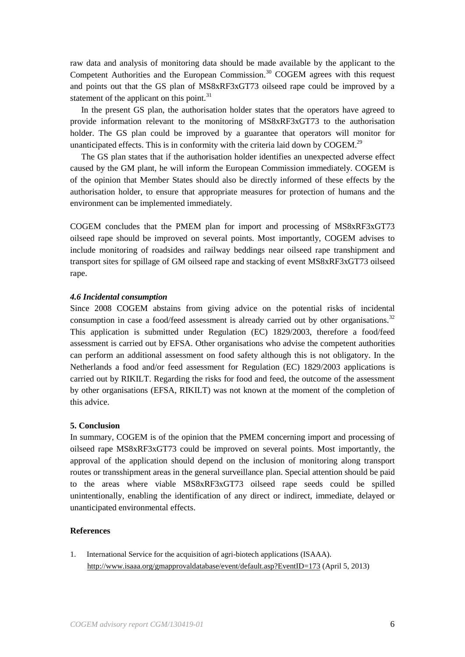raw data and analysis of monitoring data should be made available by the applicant to the Competent Authorities and the European Commission.<sup>[30](#page-7-0)</sup> COGEM agrees with this request and points out that the GS plan of MS8xRF3xGT73 oilseed rape could be improved by a statement of the applicant on this point. $31$ 

<span id="page-5-1"></span><span id="page-5-0"></span>In the present GS plan, the authorisation holder states that the operators have agreed to provide information relevant to the monitoring of MS8xRF3xGT73 to the authorisation holder. The GS plan could be improved by a guarantee that operators will monitor for unanticipated effects. This is in conformity with the criteria laid down by  $COGEM.<sup>29</sup>$ 

<span id="page-5-3"></span><span id="page-5-2"></span>The GS plan states that if the authorisation holder identifies an unexpected adverse effect caused by the GM plant, he will inform the European Commission immediately. COGEM is of the opinion that Member States should also be directly informed of these effects by the authorisation holder, to ensure that appropriate measures for protection of humans and the environment can be implemented immediately.

COGEM concludes that the PMEM plan for import and processing of MS8xRF3xGT73 oilseed rape should be improved on several points. Most importantly, COGEM advises to include monitoring of roadsides and railway beddings near oilseed rape transhipment and transport sites for spillage of GM oilseed rape and stacking of event MS8xRF3xGT73 oilseed rape.

#### *4.6 Incidental consumption*

Since 2008 COGEM abstains from giving advice on the potential risks of incidental consumption in case a food/feed assessment is already carried out by other organisations.<sup>[32](#page-7-2)</sup> This application is submitted under Regulation (EC) 1829/2003, therefore a food/feed assessment is carried out by EFSA. Other organisations who advise the competent authorities can perform an additional assessment on food safety although this is not obligatory. In the Netherlands a food and/or feed assessment for Regulation (EC) 1829/2003 applications is carried out by RIKILT. Regarding the risks for food and feed, the outcome of the assessment by other organisations (EFSA, RIKILT) was not known at the moment of the completion of this advice.

# **5. Conclusion**

In summary, COGEM is of the opinion that the PMEM concerning import and processing of oilseed rape MS8xRF3xGT73 could be improved on several points. Most importantly, the approval of the application should depend on the inclusion of monitoring along transport routes or transshipment areas in the general surveillance plan. Special attention should be paid to the areas where viable MS8xRF3xGT73 oilseed rape seeds could be spilled unintentionally, enabling the identification of any direct or indirect, immediate, delayed or unanticipated environmental effects.

#### **References**

1. International Service for the acquisition of agri-biotech applications (ISAAA). <http://www.isaaa.org/gmapprovaldatabase/event/default.asp?EventID=173> (April 5, 2013)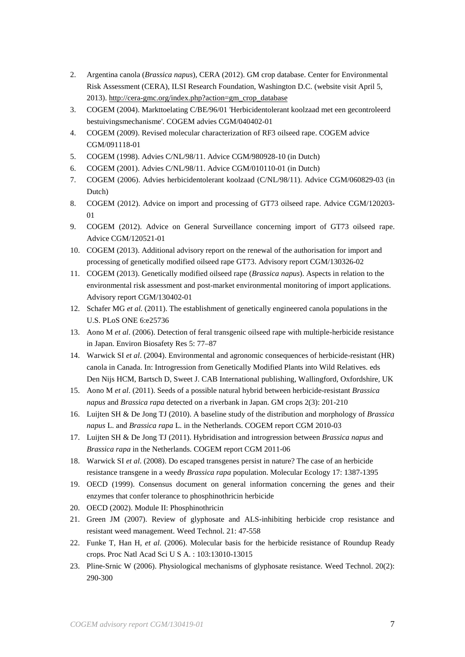- 2. Argentina canola (*Brassica napus*), CERA (2012). GM crop database. Center for Environmental Risk Assessment (CERA), ILSI Research Foundation, Washington D.C. (website visit April 5, 2013)[. http://cera-gmc.org/index.php?action=gm\\_crop\\_database](http://cera-gmc.org/index.php?action=gm_crop_database)
- 3. COGEM (2004). Markttoelating C/BE/96/01 'Herbicidentolerant koolzaad met een gecontroleerd bestuivingsmechanisme'. COGEM advies CGM/040402-01
- 4. COGEM (2009). Revised molecular characterization of RF3 oilseed rape. COGEM advice CGM/091118-01
- 5. COGEM (1998). Advies C/NL/98/11. Advice CGM/980928-10 (in Dutch)
- 6. COGEM (2001). Advies C/NL/98/11. Advice CGM/010110-01 (in Dutch)
- 7. COGEM (2006). Advies herbicidentolerant koolzaad (C/NL/98/11). Advice CGM/060829-03 (in Dutch)
- <span id="page-6-0"></span>8. COGEM (2012). Advice on import and processing of GT73 oilseed rape. Advice CGM/120203- 01
- 9. COGEM (2012). Advice on General Surveillance concerning import of GT73 oilseed rape. Advice CGM/120521-01
- 10. COGEM (2013). Additional advisory report on the renewal of the authorisation for import and processing of genetically modified oilseed rape GT73. Advisory report CGM/130326-02
- 11. COGEM (2013). Genetically modified oilseed rape (*Brassica napus*). Aspects in relation to the environmental risk assessment and post-market environmental monitoring of import applications. Advisory report CGM/130402-01
- 12. Schafer MG *et al.* (2011). The establishment of genetically engineered canola populations in the U.S. PLoS ONE 6:e25736
- 13. Aono M *et al*. (2006). Detection of feral transgenic oilseed rape with multiple-herbicide resistance in Japan. Environ Biosafety Res 5: 77–87
- 14. Warwick SI *et al*. (2004). Environmental and agronomic consequences of herbicide-resistant (HR) canola in Canada. In: Introgression from Genetically Modified Plants into Wild Relatives. eds Den Nijs HCM, Bartsch D, Sweet J. CAB International publishing, Wallingford, Oxfordshire, UK
- 15. Aono M *et al*. (2011). Seeds of a possible natural hybrid between herbicide-resistant *Brassica napus* and *Brassica rapa* detected on a riverbank in Japan. GM crops 2(3): 201-210
- 16. Luijten SH & De Jong TJ (2010). A baseline study of the distribution and morphology of *Brassica napus* L. and *Brassica rapa* L. in the Netherlands. COGEM report CGM 2010-03
- 17. Luijten SH & De Jong TJ (2011). Hybridisation and introgression between *Brassica napus* and *Brassica rapa* in the Netherlands. COGEM report CGM 2011-06
- 18. Warwick SI *et al*. (2008). Do escaped transgenes persist in nature? The case of an herbicide resistance transgene in a weedy *Brassica rapa* population. Molecular Ecology 17: 1387-1395
- 19. OECD (1999). Consensus document on general information concerning the genes and their enzymes that confer tolerance to phosphinothricin herbicide
- 20. OECD (2002). Module II: Phosphinothricin
- 21. Green JM (2007). Review of glyphosate and ALS-inhibiting herbicide crop resistance and resistant weed management. Weed Technol. 21: 47-558
- 22. Funke T, Han H, *et al*. (2006). Molecular basis for the herbicide resistance of Roundup Ready crops. Proc Natl Acad Sci U S A. : 103:13010-13015
- 23. Pline-Srnic W (2006). Physiological mechanisms of glyphosate resistance. Weed Technol. 20(2): 290-300